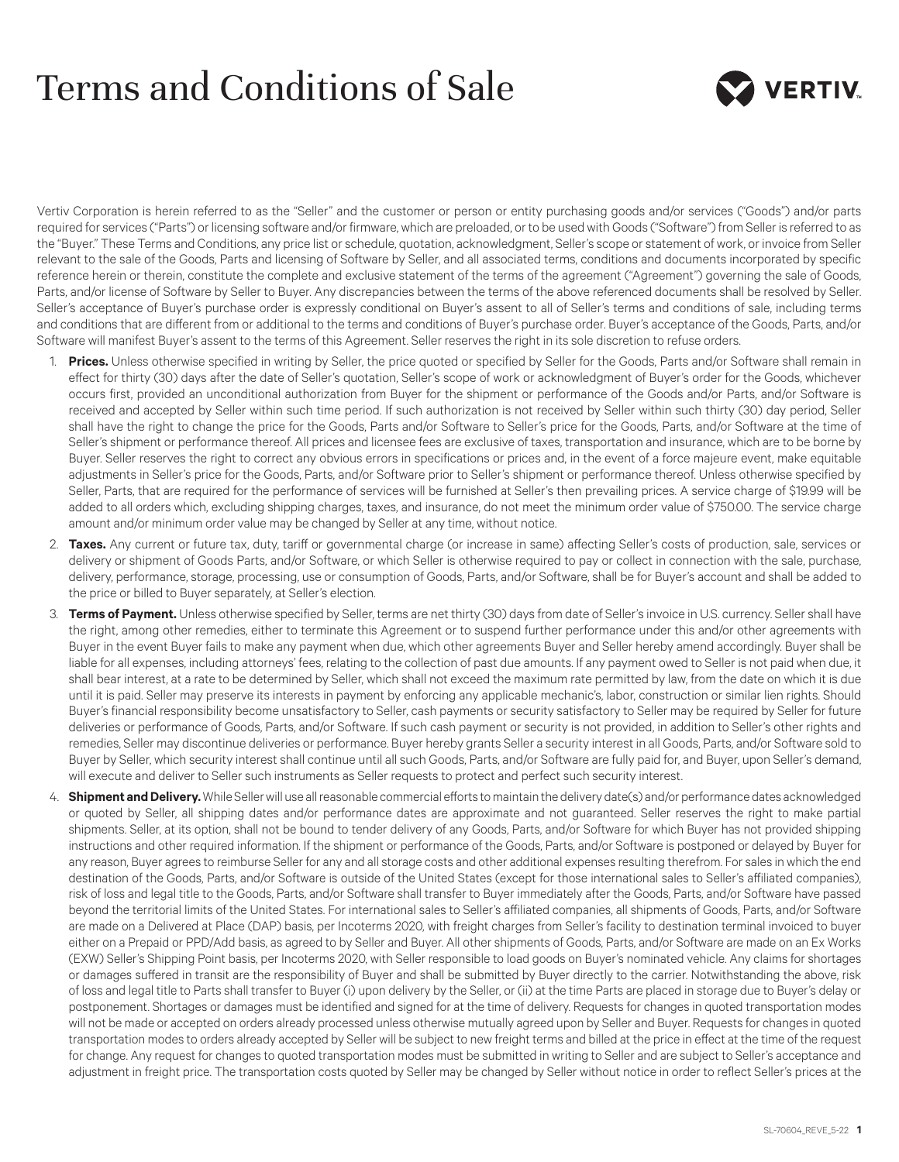## Terms and Conditions of Sale



Vertiv Corporation is herein referred to as the "Seller" and the customer or person or entity purchasing goods and/or services ("Goods") and/or parts required for services ("Parts") or licensing software and/or firmware, which are preloaded, or to be used with Goods ("Software") from Seller is referred to as the "Buyer." These Terms and Conditions, any price list or schedule, quotation, acknowledgment, Seller's scope or statement of work, or invoice from Seller relevant to the sale of the Goods, Parts and licensing of Software by Seller, and all associated terms, conditions and documents incorporated by specific reference herein or therein, constitute the complete and exclusive statement of the terms of the agreement ("Agreement") governing the sale of Goods, Parts, and/or license of Software by Seller to Buyer. Any discrepancies between the terms of the above referenced documents shall be resolved by Seller. Seller's acceptance of Buyer's purchase order is expressly conditional on Buyer's assent to all of Seller's terms and conditions of sale, including terms and conditions that are different from or additional to the terms and conditions of Buyer's purchase order. Buyer's acceptance of the Goods, Parts, and/or Software will manifest Buyer's assent to the terms of this Agreement. Seller reserves the right in its sole discretion to refuse orders.

- 1. **Prices.** Unless otherwise specified in writing by Seller, the price quoted or specified by Seller for the Goods, Parts and/or Software shall remain in effect for thirty (30) days after the date of Seller's quotation, Seller's scope of work or acknowledgment of Buyer's order for the Goods, whichever occurs first, provided an unconditional authorization from Buyer for the shipment or performance of the Goods and/or Parts, and/or Software is received and accepted by Seller within such time period. If such authorization is not received by Seller within such thirty (30) day period, Seller shall have the right to change the price for the Goods, Parts and/or Software to Seller's price for the Goods, Parts, and/or Software at the time of Seller's shipment or performance thereof. All prices and licensee fees are exclusive of taxes, transportation and insurance, which are to be borne by Buyer. Seller reserves the right to correct any obvious errors in specifications or prices and, in the event of a force majeure event, make equitable adjustments in Seller's price for the Goods, Parts, and/or Software prior to Seller's shipment or performance thereof. Unless otherwise specified by Seller, Parts, that are required for the performance of services will be furnished at Seller's then prevailing prices. A service charge of \$19.99 will be added to all orders which, excluding shipping charges, taxes, and insurance, do not meet the minimum order value of \$750.00. The service charge amount and/or minimum order value may be changed by Seller at any time, without notice.
- 2. **Taxes.** Any current or future tax, duty, tariff or governmental charge (or increase in same) affecting Seller's costs of production, sale, services or delivery or shipment of Goods Parts, and/or Software, or which Seller is otherwise required to pay or collect in connection with the sale, purchase, delivery, performance, storage, processing, use or consumption of Goods, Parts, and/or Software, shall be for Buyer's account and shall be added to the price or billed to Buyer separately, at Seller's election.
- 3. **Terms of Payment.** Unless otherwise specified by Seller, terms are net thirty (30) days from date of Seller's invoice in U.S. currency. Seller shall have the right, among other remedies, either to terminate this Agreement or to suspend further performance under this and/or other agreements with Buyer in the event Buyer fails to make any payment when due, which other agreements Buyer and Seller hereby amend accordingly. Buyer shall be liable for all expenses, including attorneys' fees, relating to the collection of past due amounts. If any payment owed to Seller is not paid when due, it shall bear interest, at a rate to be determined by Seller, which shall not exceed the maximum rate permitted by law, from the date on which it is due until it is paid. Seller may preserve its interests in payment by enforcing any applicable mechanic's, labor, construction or similar lien rights. Should Buyer's financial responsibility become unsatisfactory to Seller, cash payments or security satisfactory to Seller may be required by Seller for future deliveries or performance of Goods, Parts, and/or Software. If such cash payment or security is not provided, in addition to Seller's other rights and remedies, Seller may discontinue deliveries or performance. Buyer hereby grants Seller a security interest in all Goods, Parts, and/or Software sold to Buyer by Seller, which security interest shall continue until all such Goods, Parts, and/or Software are fully paid for, and Buyer, upon Seller's demand, will execute and deliver to Seller such instruments as Seller requests to protect and perfect such security interest.
- 4. **Shipment and Delivery.** While Seller will use all reasonable commercial efforts to maintain the delivery date(s) and/or performance dates acknowledged or quoted by Seller, all shipping dates and/or performance dates are approximate and not guaranteed. Seller reserves the right to make partial shipments. Seller, at its option, shall not be bound to tender delivery of any Goods, Parts, and/or Software for which Buyer has not provided shipping instructions and other required information. If the shipment or performance of the Goods, Parts, and/or Software is postponed or delayed by Buyer for any reason, Buyer agrees to reimburse Seller for any and all storage costs and other additional expenses resulting therefrom. For sales in which the end destination of the Goods, Parts, and/or Software is outside of the United States (except for those international sales to Seller's affiliated companies), risk of loss and legal title to the Goods, Parts, and/or Software shall transfer to Buyer immediately after the Goods, Parts, and/or Software have passed beyond the territorial limits of the United States. For international sales to Seller's affiliated companies, all shipments of Goods, Parts, and/or Software are made on a Delivered at Place (DAP) basis, per Incoterms 2020, with freight charges from Seller's facility to destination terminal invoiced to buyer either on a Prepaid or PPD/Add basis, as agreed to by Seller and Buyer. All other shipments of Goods, Parts, and/or Software are made on an Ex Works (EXW) Seller's Shipping Point basis, per Incoterms 2020, with Seller responsible to load goods on Buyer's nominated vehicle. Any claims for shortages or damages suffered in transit are the responsibility of Buyer and shall be submitted by Buyer directly to the carrier. Notwithstanding the above, risk of loss and legal title to Parts shall transfer to Buyer (i) upon delivery by the Seller, or (ii) at the time Parts are placed in storage due to Buyer's delay or postponement. Shortages or damages must be identified and signed for at the time of delivery. Requests for changes in quoted transportation modes will not be made or accepted on orders already processed unless otherwise mutually agreed upon by Seller and Buyer. Requests for changes in quoted transportation modes to orders already accepted by Seller will be subject to new freight terms and billed at the price in effect at the time of the request for change. Any request for changes to quoted transportation modes must be submitted in writing to Seller and are subject to Seller's acceptance and adjustment in freight price. The transportation costs quoted by Seller may be changed by Seller without notice in order to reflect Seller's prices at the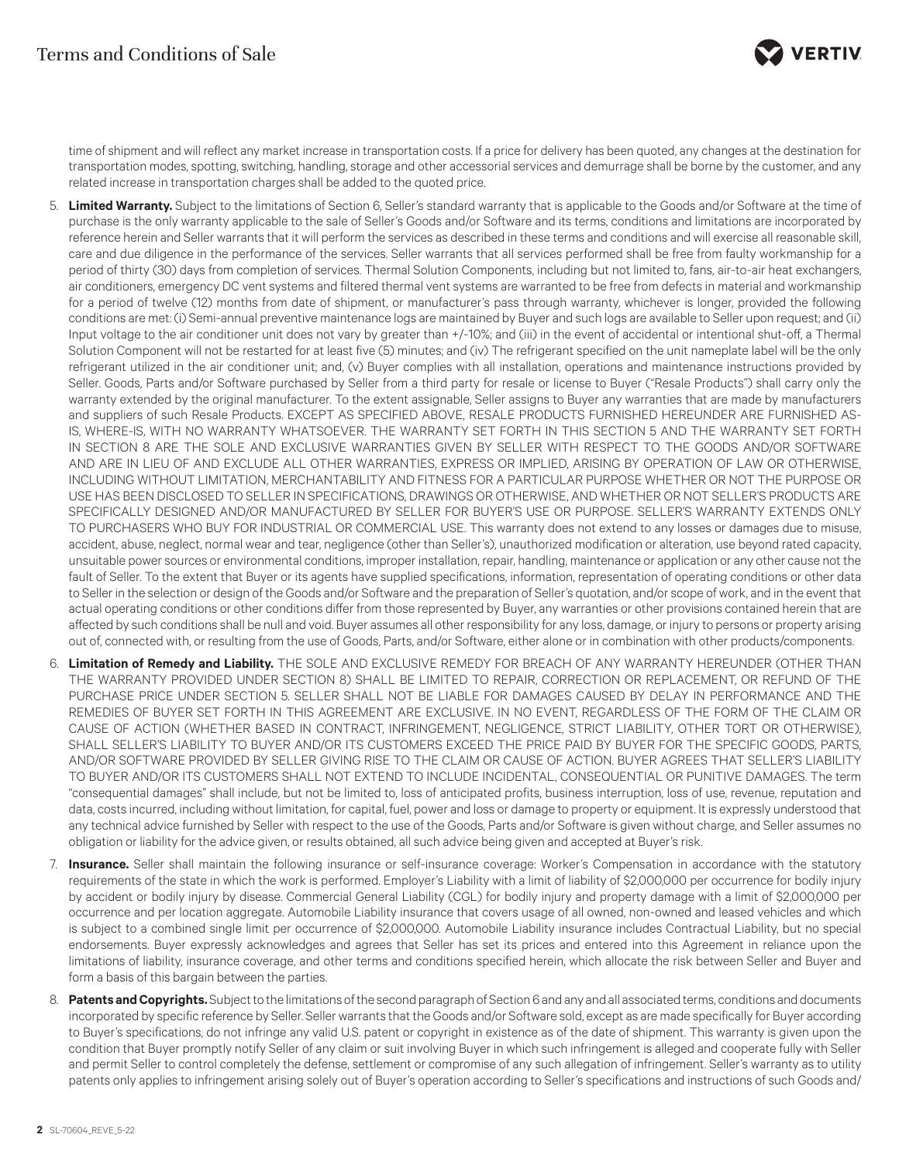

time of shipment and will reflect any market increase in transportation costs. If a price for delivery has been quoted, any changes at the destination for transportation modes, spotting, switching, handling, storage and other accessorial services and demurrage shall be borne by the customer, and any related increase in transportation charges shall be added to the quoted price.

- 5. **Limited Warranty.** Subject to the limitations of Section 6, Seller's standard warranty that is applicable to the Goods and/or Software at the time of purchase is the only warranty applicable to the sale of Seller's Goods and/or Software and its terms, conditions and limitations are incorporated by reference herein and Seller warrants that it will perform the services as described in these terms and conditions and will exercise all reasonable skill, care and due diligence in the performance of the services. Seller warrants that all services performed shall be free from faulty workmanship for a period of thirty (30) days from completion of services. Thermal Solution Components, including but not limited to, fans, air-to-air heat exchangers, air conditioners, emergency DC vent systems and filtered thermal vent systems are warranted to be free from defects in material and workmanship for a period of twelve (12) months from date of shipment, or manufacturer's pass through warranty, whichever is longer, provided the following conditions are met: (i) Semi-annual preventive maintenance logs are maintained by Buyer and such logs are available to Seller upon request; and (ii) Input voltage to the air conditioner unit does not vary by greater than +/-10%; and (iii) in the event of accidental or intentional shut-off, a Thermal Solution Component will not be restarted for at least five (5) minutes; and (iv) The refrigerant specified on the unit nameplate label will be the only refrigerant utilized in the air conditioner unit; and, (v) Buyer complies with all installation, operations and maintenance instructions provided by Seller. Goods, Parts and/or Software purchased by Seller from a third party for resale or license to Buyer ("Resale Products") shall carry only the warranty extended by the original manufacturer. To the extent assignable, Seller assigns to Buyer any warranties that are made by manufacturers and suppliers of such Resale Products. EXCEPT AS SPECIFIED ABOVE, RESALE PRODUCTS FURNISHED HEREUNDER ARE FURNISHED AS-IS, WHERE-IS, WITH NO WARRANTY WHATSOEVER. THE WARRANTY SET FORTH IN THIS SECTION 5 AND THE WARRANTY SET FORTH IN SECTION 8 ARE THE SOLE AND EXCLUSIVE WARRANTIES GIVEN BY SELLER WITH RESPECT TO THE GOODS AND/OR SOFTWARE AND ARE IN LIEU OF AND EXCLUDE ALL OTHER WARRANTIES, EXPRESS OR IMPLIED, ARISING BY OPERATION OF LAW OR OTHERWISE, INCLUDING WITHOUT LIMITATION, MERCHANTABILITY AND FITNESS FOR A PARTICULAR PURPOSE WHETHER OR NOT THE PURPOSE OR USE HAS BEEN DISCLOSED TO SELLER IN SPECIFICATIONS, DRAWINGS OR OTHERWISE, AND WHETHER OR NOT SELLER'S PRODUCTS ARE SPECIFICALLY DESIGNED AND/OR MANUFACTURED BY SELLER FOR BUYER'S USE OR PURPOSE. SELLER'S WARRANTY EXTENDS ONLY TO PURCHASERS WHO BUY FOR INDUSTRIAL OR COMMERCIAL USE. This warranty does not extend to any losses or damages due to misuse, accident, abuse, neglect, normal wear and tear, negligence (other than Seller's), unauthorized modification or alteration, use beyond rated capacity, unsuitable power sources or environmental conditions, improper installation, repair, handling, maintenance or application or any other cause not the fault of Seller. To the extent that Buyer or its agents have supplied specifications, information, representation of operating conditions or other data to Seller in the selection or design of the Goods and/or Software and the preparation of Seller's quotation, and/or scope of work, and in the event that actual operating conditions or other conditions differ from those represented by Buyer, any warranties or other provisions contained herein that are affected by such conditions shall be null and void. Buyer assumes all other responsibility for any loss, damage, or injury to persons or property arising out of, connected with, or resulting from the use of Goods, Parts, and/or Software, either alone or in combination with other products/components.
- 6. **Limitation of Remedy and Liability.** THE SOLE AND EXCLUSIVE REMEDY FOR BREACH OF ANY WARRANTY HEREUNDER (OTHER THAN THE WARRANTY PROVIDED UNDER SECTION 8) SHALL BE LIMITED TO REPAIR, CORRECTION OR REPLACEMENT, OR REFUND OF THE PURCHASE PRICE UNDER SECTION 5. SELLER SHALL NOT BE LIABLE FOR DAMAGES CAUSED BY DELAY IN PERFORMANCE AND THE REMEDIES OF BUYER SET FORTH IN THIS AGREEMENT ARE EXCLUSIVE. IN NO EVENT, REGARDLESS OF THE FORM OF THE CLAIM OR CAUSE OF ACTION (WHETHER BASED IN CONTRACT, INFRINGEMENT, NEGLIGENCE, STRICT LIABILITY, OTHER TORT OR OTHERWISE), SHALL SELLER'S LIABILITY TO BUYER AND/OR ITS CUSTOMERS EXCEED THE PRICE PAID BY BUYER FOR THE SPECIFIC GOODS, PARTS, AND/OR SOFTWARE PROVIDED BY SELLER GIVING RISE TO THE CLAIM OR CAUSE OF ACTION. BUYER AGREES THAT SELLER'S LIABILITY TO BUYER AND/OR ITS CUSTOMERS SHALL NOT EXTEND TO INCLUDE INCIDENTAL, CONSEQUENTIAL OR PUNITIVE DAMAGES. The term "consequential damages" shall include, but not be limited to, loss of anticipated profits, business interruption, loss of use, revenue, reputation and data, costs incurred, including without limitation, for capital, fuel, power and loss or damage to property or equipment. It is expressly understood that any technical advice furnished by Seller with respect to the use of the Goods, Parts and/or Software is given without charge, and Seller assumes no obligation or liability for the advice given, or results obtained, all such advice being given and accepted at Buyer's risk.
- 7. **Insurance.** Seller shall maintain the following insurance or self-insurance coverage: Worker's Compensation in accordance with the statutory requirements of the state in which the work is performed. Employer's Liability with a limit of liability of \$2,000,000 per occurrence for bodily injury by accident or bodily injury by disease. Commercial General Liability (CGL) for bodily injury and property damage with a limit of \$2,000,000 per occurrence and per location aggregate. Automobile Liability insurance that covers usage of all owned, non-owned and leased vehicles and which is subject to a combined single limit per occurrence of \$2,000,000. Automobile Liability insurance includes Contractual Liability, but no special endorsements. Buyer expressly acknowledges and agrees that Seller has set its prices and entered into this Agreement in reliance upon the limitations of liability, insurance coverage, and other terms and conditions specified herein, which allocate the risk between Seller and Buyer and form a basis of this bargain between the parties.
- 8. **Patents and Copyrights.** Subject to the limitations of the second paragraph of Section 6 and any and all associated terms, conditions and documents incorporated by specific reference by Seller. Seller warrants that the Goods and/or Software sold, except as are made specifically for Buyer according to Buyer's specifications, do not infringe any valid U.S. patent or copyright in existence as of the date of shipment. This warranty is given upon the condition that Buyer promptly notify Seller of any claim or suit involving Buyer in which such infringement is alleged and cooperate fully with Seller and permit Seller to control completely the defense, settlement or compromise of any such allegation of infringement. Seller's warranty as to utility patents only applies to infringement arising solely out of Buyer's operation according to Seller's specifications and instructions of such Goods and/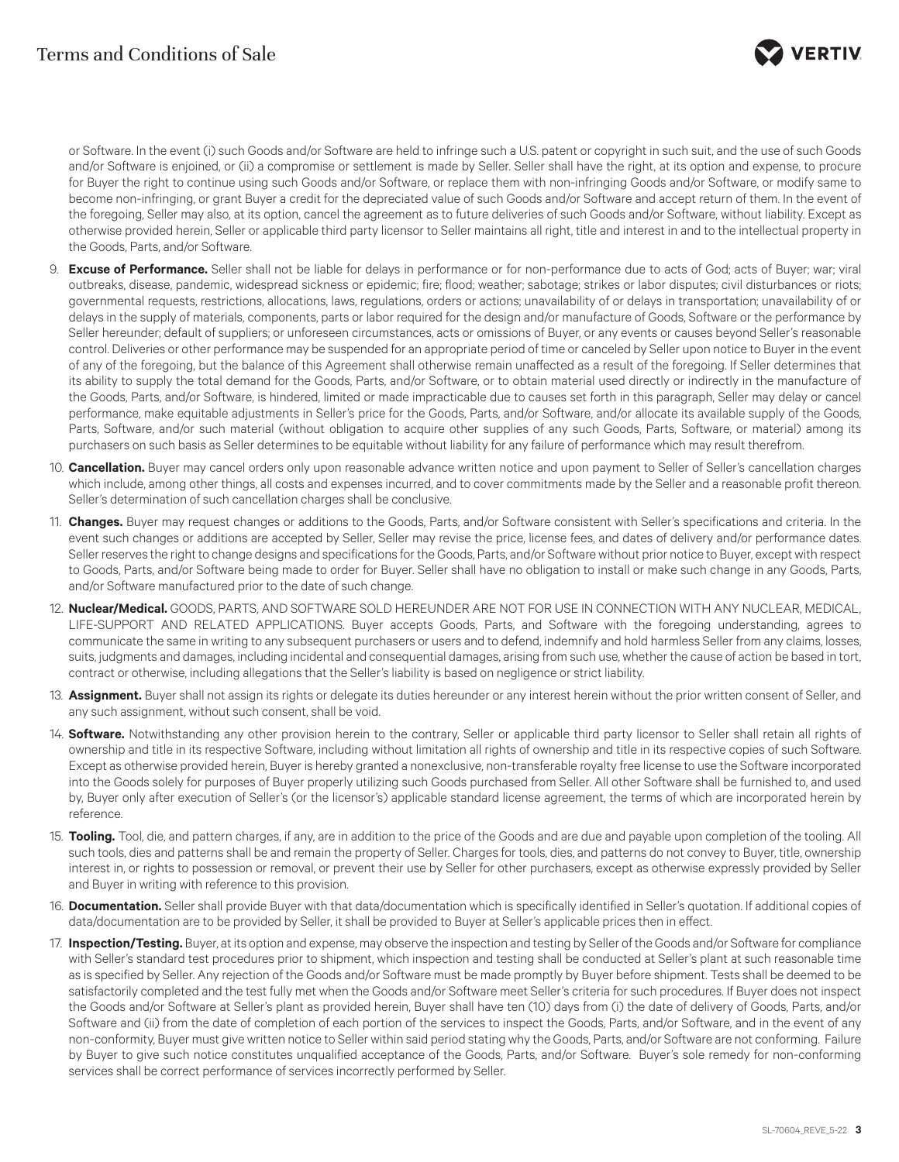

or Software. In the event (i) such Goods and/or Software are held to infringe such a U.S. patent or copyright in such suit, and the use of such Goods and/or Software is enjoined, or (ii) a compromise or settlement is made by Seller. Seller shall have the right, at its option and expense, to procure for Buyer the right to continue using such Goods and/or Software, or replace them with non-infringing Goods and/or Software, or modify same to become non-infringing, or grant Buyer a credit for the depreciated value of such Goods and/or Software and accept return of them. In the event of the foregoing, Seller may also, at its option, cancel the agreement as to future deliveries of such Goods and/or Software, without liability. Except as otherwise provided herein, Seller or applicable third party licensor to Seller maintains all right, title and interest in and to the intellectual property in the Goods, Parts, and/or Software.

- 9. **Excuse of Performance.** Seller shall not be liable for delays in performance or for non-performance due to acts of God; acts of Buyer; war; viral outbreaks, disease, pandemic, widespread sickness or epidemic; fire; flood; weather; sabotage; strikes or labor disputes; civil disturbances or riots; governmental requests, restrictions, allocations, laws, regulations, orders or actions; unavailability of or delays in transportation; unavailability of or delays in the supply of materials, components, parts or labor required for the design and/or manufacture of Goods, Software or the performance by Seller hereunder; default of suppliers; or unforeseen circumstances, acts or omissions of Buyer, or any events or causes beyond Seller's reasonable control. Deliveries or other performance may be suspended for an appropriate period of time or canceled by Seller upon notice to Buyer in the event of any of the foregoing, but the balance of this Agreement shall otherwise remain unaffected as a result of the foregoing. If Seller determines that its ability to supply the total demand for the Goods, Parts, and/or Software, or to obtain material used directly or indirectly in the manufacture of the Goods, Parts, and/or Software, is hindered, limited or made impracticable due to causes set forth in this paragraph, Seller may delay or cancel performance, make equitable adjustments in Seller's price for the Goods, Parts, and/or Software, and/or allocate its available supply of the Goods, Parts, Software, and/or such material (without obligation to acquire other supplies of any such Goods, Parts, Software, or material) among its purchasers on such basis as Seller determines to be equitable without liability for any failure of performance which may result therefrom.
- 10. **Cancellation.** Buyer may cancel orders only upon reasonable advance written notice and upon payment to Seller of Seller's cancellation charges which include, among other things, all costs and expenses incurred, and to cover commitments made by the Seller and a reasonable profit thereon. Seller's determination of such cancellation charges shall be conclusive.
- 11. **Changes.** Buyer may request changes or additions to the Goods, Parts, and/or Software consistent with Seller's specifications and criteria. In the event such changes or additions are accepted by Seller, Seller may revise the price, license fees, and dates of delivery and/or performance dates. Seller reserves the right to change designs and specifications for the Goods, Parts, and/or Software without prior notice to Buyer, except with respect to Goods, Parts, and/or Software being made to order for Buyer. Seller shall have no obligation to install or make such change in any Goods, Parts, and/or Software manufactured prior to the date of such change.
- 12. **Nuclear/Medical.** GOODS, PARTS, AND SOFTWARE SOLD HEREUNDER ARE NOT FOR USE IN CONNECTION WITH ANY NUCLEAR, MEDICAL, LIFE-SUPPORT AND RELATED APPLICATIONS. Buyer accepts Goods, Parts, and Software with the foregoing understanding, agrees to communicate the same in writing to any subsequent purchasers or users and to defend, indemnify and hold harmless Seller from any claims, losses, suits, judgments and damages, including incidental and consequential damages, arising from such use, whether the cause of action be based in tort, contract or otherwise, including allegations that the Seller's liability is based on negligence or strict liability.
- 13. Assignment. Buyer shall not assign its rights or delegate its duties hereunder or any interest herein without the prior written consent of Seller, and any such assignment, without such consent, shall be void.
- 14. **Software.** Notwithstanding any other provision herein to the contrary, Seller or applicable third party licensor to Seller shall retain all rights of ownership and title in its respective Software, including without limitation all rights of ownership and title in its respective copies of such Software. Except as otherwise provided herein, Buyer is hereby granted a nonexclusive, non-transferable royalty free license to use the Software incorporated into the Goods solely for purposes of Buyer properly utilizing such Goods purchased from Seller. All other Software shall be furnished to, and used by, Buyer only after execution of Seller's (or the licensor's) applicable standard license agreement, the terms of which are incorporated herein by reference.
- 15. **Tooling.** Tool, die, and pattern charges, if any, are in addition to the price of the Goods and are due and payable upon completion of the tooling. All such tools, dies and patterns shall be and remain the property of Seller. Charges for tools, dies, and patterns do not convey to Buyer, title, ownership interest in, or rights to possession or removal, or prevent their use by Seller for other purchasers, except as otherwise expressly provided by Seller and Buyer in writing with reference to this provision.
- 16. **Documentation.** Seller shall provide Buyer with that data/documentation which is specifically identified in Seller's quotation. If additional copies of data/documentation are to be provided by Seller, it shall be provided to Buyer at Seller's applicable prices then in effect.
- 17. **Inspection/Testing.** Buyer, at its option and expense, may observe the inspection and testing by Seller of the Goods and/or Software for compliance with Seller's standard test procedures prior to shipment, which inspection and testing shall be conducted at Seller's plant at such reasonable time as is specified by Seller. Any rejection of the Goods and/or Software must be made promptly by Buyer before shipment. Tests shall be deemed to be satisfactorily completed and the test fully met when the Goods and/or Software meet Seller's criteria for such procedures. If Buyer does not inspect the Goods and/or Software at Seller's plant as provided herein, Buyer shall have ten (10) days from (i) the date of delivery of Goods, Parts, and/or Software and (ii) from the date of completion of each portion of the services to inspect the Goods, Parts, and/or Software, and in the event of any non-conformity, Buyer must give written notice to Seller within said period stating why the Goods, Parts, and/or Software are not conforming. Failure by Buyer to give such notice constitutes unqualified acceptance of the Goods, Parts, and/or Software. Buyer's sole remedy for non-conforming services shall be correct performance of services incorrectly performed by Seller.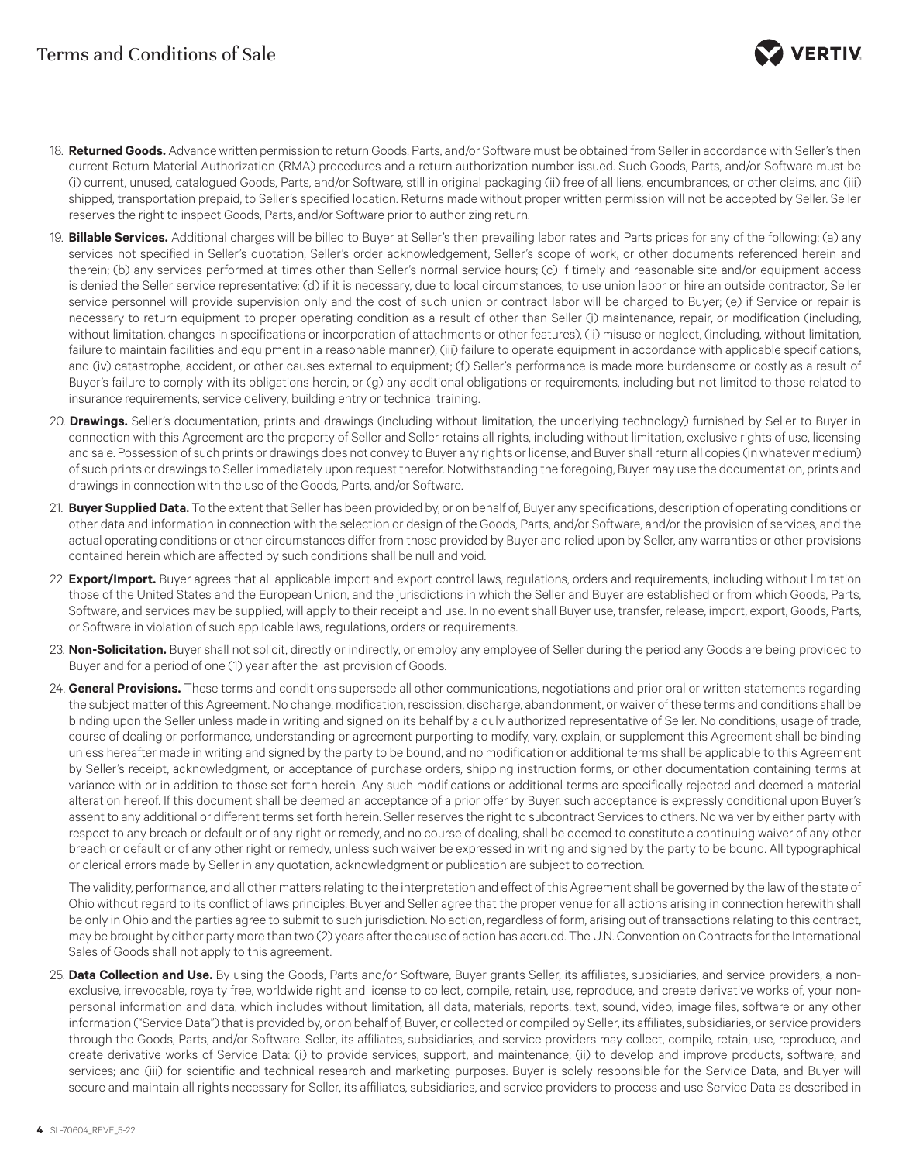

- 18. **Returned Goods.** Advance written permission to return Goods, Parts, and/or Software must be obtained from Seller in accordance with Seller's then current Return Material Authorization (RMA) procedures and a return authorization number issued. Such Goods, Parts, and/or Software must be (i) current, unused, catalogued Goods, Parts, and/or Software, still in original packaging (ii) free of all liens, encumbrances, or other claims, and (iii) shipped, transportation prepaid, to Seller's specified location. Returns made without proper written permission will not be accepted by Seller. Seller reserves the right to inspect Goods, Parts, and/or Software prior to authorizing return.
- 19. **Billable Services.** Additional charges will be billed to Buyer at Seller's then prevailing labor rates and Parts prices for any of the following: (a) any services not specified in Seller's quotation, Seller's order acknowledgement, Seller's scope of work, or other documents referenced herein and therein; (b) any services performed at times other than Seller's normal service hours; (c) if timely and reasonable site and/or equipment access is denied the Seller service representative; (d) if it is necessary, due to local circumstances, to use union labor or hire an outside contractor, Seller service personnel will provide supervision only and the cost of such union or contract labor will be charged to Buyer; (e) if Service or repair is necessary to return equipment to proper operating condition as a result of other than Seller (i) maintenance, repair, or modification (including, without limitation, changes in specifications or incorporation of attachments or other features), (ii) misuse or neglect, (including, without limitation, failure to maintain facilities and equipment in a reasonable manner), (iii) failure to operate equipment in accordance with applicable specifications, and (iv) catastrophe, accident, or other causes external to equipment; (f) Seller's performance is made more burdensome or costly as a result of Buyer's failure to comply with its obligations herein, or (g) any additional obligations or requirements, including but not limited to those related to insurance requirements, service delivery, building entry or technical training.
- 20. **Drawings.** Seller's documentation, prints and drawings (including without limitation, the underlying technology) furnished by Seller to Buyer in connection with this Agreement are the property of Seller and Seller retains all rights, including without limitation, exclusive rights of use, licensing and sale. Possession of such prints or drawings does not convey to Buyer any rights or license, and Buyer shall return all copies (in whatever medium) of such prints or drawings to Seller immediately upon request therefor. Notwithstanding the foregoing, Buyer may use the documentation, prints and drawings in connection with the use of the Goods, Parts, and/or Software.
- 21. **Buyer Supplied Data.** To the extent that Seller has been provided by, or on behalf of, Buyer any specifications, description of operating conditions or other data and information in connection with the selection or design of the Goods, Parts, and/or Software, and/or the provision of services, and the actual operating conditions or other circumstances differ from those provided by Buyer and relied upon by Seller, any warranties or other provisions contained herein which are affected by such conditions shall be null and void.
- 22. **Export/Import.** Buyer agrees that all applicable import and export control laws, regulations, orders and requirements, including without limitation those of the United States and the European Union, and the jurisdictions in which the Seller and Buyer are established or from which Goods, Parts, Software, and services may be supplied, will apply to their receipt and use. In no event shall Buyer use, transfer, release, import, export, Goods, Parts, or Software in violation of such applicable laws, regulations, orders or requirements.
- 23. **Non-Solicitation.** Buyer shall not solicit, directly or indirectly, or employ any employee of Seller during the period any Goods are being provided to Buyer and for a period of one (1) year after the last provision of Goods.
- 24. **General Provisions.** These terms and conditions supersede all other communications, negotiations and prior oral or written statements regarding the subject matter of this Agreement. No change, modification, rescission, discharge, abandonment, or waiver of these terms and conditions shall be binding upon the Seller unless made in writing and signed on its behalf by a duly authorized representative of Seller. No conditions, usage of trade, course of dealing or performance, understanding or agreement purporting to modify, vary, explain, or supplement this Agreement shall be binding unless hereafter made in writing and signed by the party to be bound, and no modification or additional terms shall be applicable to this Agreement by Seller's receipt, acknowledgment, or acceptance of purchase orders, shipping instruction forms, or other documentation containing terms at variance with or in addition to those set forth herein. Any such modifications or additional terms are specifically rejected and deemed a material alteration hereof. If this document shall be deemed an acceptance of a prior offer by Buyer, such acceptance is expressly conditional upon Buyer's assent to any additional or different terms set forth herein. Seller reserves the right to subcontract Services to others. No waiver by either party with respect to any breach or default or of any right or remedy, and no course of dealing, shall be deemed to constitute a continuing waiver of any other breach or default or of any other right or remedy, unless such waiver be expressed in writing and signed by the party to be bound. All typographical or clerical errors made by Seller in any quotation, acknowledgment or publication are subject to correction.

The validity, performance, and all other matters relating to the interpretation and effect of this Agreement shall be governed by the law of the state of Ohio without regard to its conflict of laws principles. Buyer and Seller agree that the proper venue for all actions arising in connection herewith shall be only in Ohio and the parties agree to submit to such jurisdiction. No action, regardless of form, arising out of transactions relating to this contract, may be brought by either party more than two (2) years after the cause of action has accrued. The U.N. Convention on Contracts for the International Sales of Goods shall not apply to this agreement.

25. **Data Collection and Use.** By using the Goods, Parts and/or Software, Buyer grants Seller, its affiliates, subsidiaries, and service providers, a nonexclusive, irrevocable, royalty free, worldwide right and license to collect, compile, retain, use, reproduce, and create derivative works of, your nonpersonal information and data, which includes without limitation, all data, materials, reports, text, sound, video, image files, software or any other information ("Service Data") that is provided by, or on behalf of, Buyer, or collected or compiled by Seller, its affiliates, subsidiaries, or service providers through the Goods, Parts, and/or Software. Seller, its affiliates, subsidiaries, and service providers may collect, compile, retain, use, reproduce, and create derivative works of Service Data: (i) to provide services, support, and maintenance; (ii) to develop and improve products, software, and services; and (iii) for scientific and technical research and marketing purposes. Buyer is solely responsible for the Service Data, and Buyer will secure and maintain all rights necessary for Seller, its affiliates, subsidiaries, and service providers to process and use Service Data as described in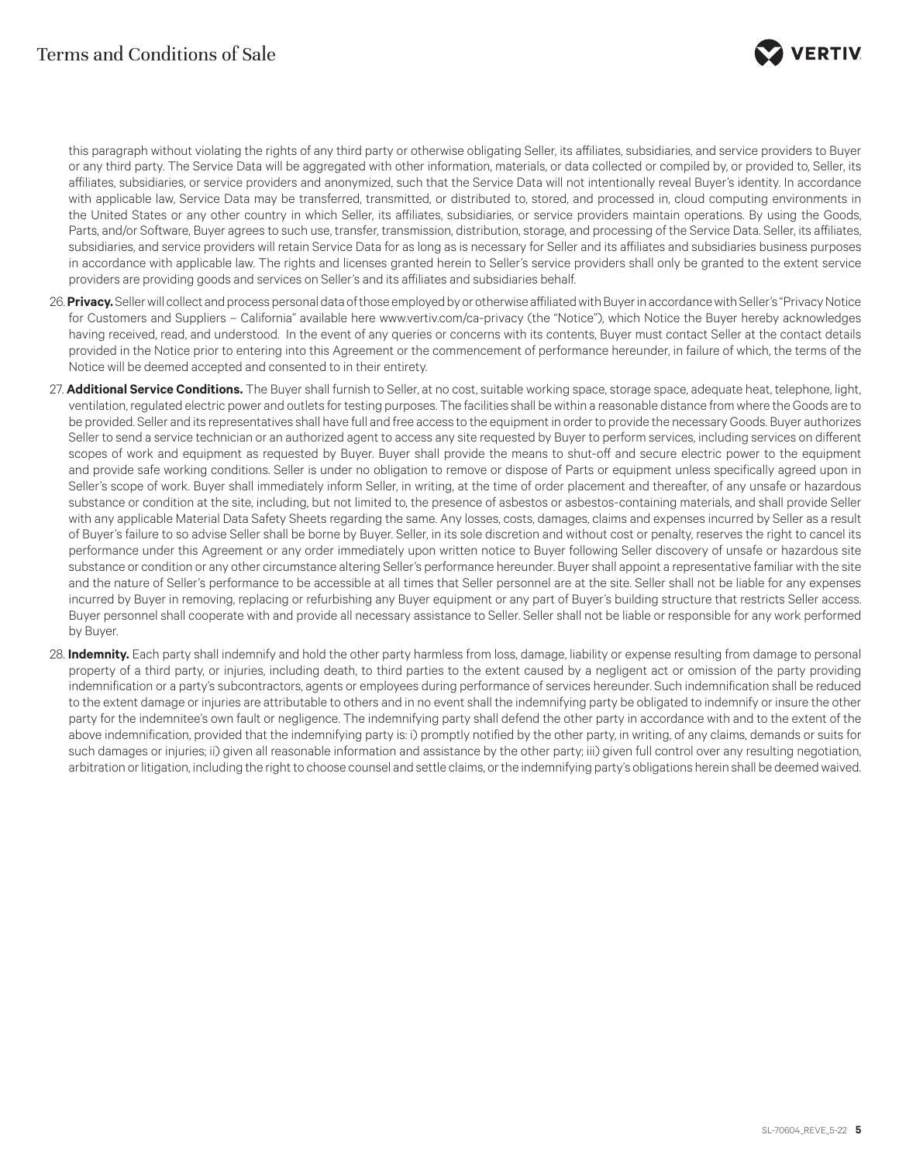

this paragraph without violating the rights of any third party or otherwise obligating Seller, its affiliates, subsidiaries, and service providers to Buyer or any third party. The Service Data will be aggregated with other information, materials, or data collected or compiled by, or provided to, Seller, its affiliates, subsidiaries, or service providers and anonymized, such that the Service Data will not intentionally reveal Buyer's identity. In accordance with applicable law, Service Data may be transferred, transmitted, or distributed to, stored, and processed in, cloud computing environments in the United States or any other country in which Seller, its affiliates, subsidiaries, or service providers maintain operations. By using the Goods, Parts, and/or Software, Buyer agrees to such use, transfer, transmission, distribution, storage, and processing of the Service Data. Seller, its affiliates, subsidiaries, and service providers will retain Service Data for as long as is necessary for Seller and its affiliates and subsidiaries business purposes in accordance with applicable law. The rights and licenses granted herein to Seller's service providers shall only be granted to the extent service providers are providing goods and services on Seller's and its affiliates and subsidiaries behalf.

- 26. **Privacy.** Seller will collect and process personal data of those employed by or otherwise affiliated with Buyer in accordance with Seller's "Privacy Notice for Customers and Suppliers – California" available here www.vertiv.com/ca-privacy (the "Notice"), which Notice the Buyer hereby acknowledges having received, read, and understood. In the event of any queries or concerns with its contents, Buyer must contact Seller at the contact details provided in the Notice prior to entering into this Agreement or the commencement of performance hereunder, in failure of which, the terms of the Notice will be deemed accepted and consented to in their entirety.
- 27. **Additional Service Conditions.** The Buyer shall furnish to Seller, at no cost, suitable working space, storage space, adequate heat, telephone, light, ventilation, regulated electric power and outlets for testing purposes. The facilities shall be within a reasonable distance from where the Goods are to be provided. Seller and its representatives shall have full and free access to the equipment in order to provide the necessary Goods. Buyer authorizes Seller to send a service technician or an authorized agent to access any site requested by Buyer to perform services, including services on different scopes of work and equipment as requested by Buyer. Buyer shall provide the means to shut-off and secure electric power to the equipment and provide safe working conditions. Seller is under no obligation to remove or dispose of Parts or equipment unless specifically agreed upon in Seller's scope of work. Buyer shall immediately inform Seller, in writing, at the time of order placement and thereafter, of any unsafe or hazardous substance or condition at the site, including, but not limited to, the presence of asbestos or asbestos-containing materials, and shall provide Seller with any applicable Material Data Safety Sheets regarding the same. Any losses, costs, damages, claims and expenses incurred by Seller as a result of Buyer's failure to so advise Seller shall be borne by Buyer. Seller, in its sole discretion and without cost or penalty, reserves the right to cancel its performance under this Agreement or any order immediately upon written notice to Buyer following Seller discovery of unsafe or hazardous site substance or condition or any other circumstance altering Seller's performance hereunder. Buyer shall appoint a representative familiar with the site and the nature of Seller's performance to be accessible at all times that Seller personnel are at the site. Seller shall not be liable for any expenses incurred by Buyer in removing, replacing or refurbishing any Buyer equipment or any part of Buyer's building structure that restricts Seller access. Buyer personnel shall cooperate with and provide all necessary assistance to Seller. Seller shall not be liable or responsible for any work performed by Buyer.
- 28. **Indemnity.** Each party shall indemnify and hold the other party harmless from loss, damage, liability or expense resulting from damage to personal property of a third party, or injuries, including death, to third parties to the extent caused by a negligent act or omission of the party providing indemnification or a party's subcontractors, agents or employees during performance of services hereunder. Such indemnification shall be reduced to the extent damage or injuries are attributable to others and in no event shall the indemnifying party be obligated to indemnify or insure the other party for the indemnitee's own fault or negligence. The indemnifying party shall defend the other party in accordance with and to the extent of the above indemnification, provided that the indemnifying party is: i) promptly notified by the other party, in writing, of any claims, demands or suits for such damages or injuries; ii) given all reasonable information and assistance by the other party; iii) given full control over any resulting negotiation, arbitration or litigation, including the right to choose counsel and settle claims, or the indemnifying party's obligations herein shall be deemed waived.